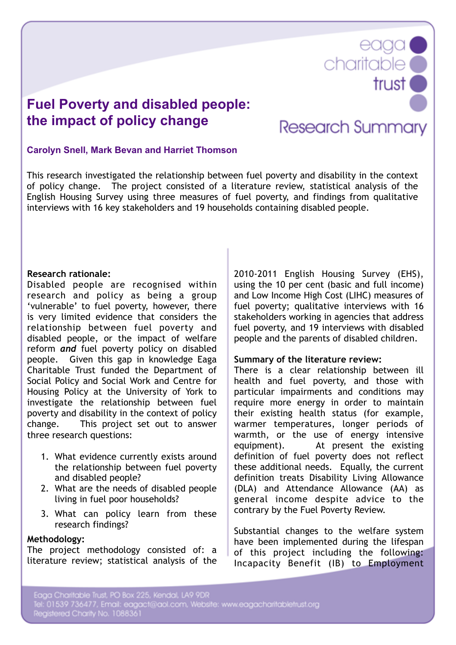**Fuel Poverty and disabled people: the impact of policy change**

# **Research Summary**

eaga<br>Charitable

trust<sup>o</sup>

## **Carolyn Snell, Mark Bevan and Harriet Thomson**

This research investigated the relationship between fuel poverty and disability in the context of policy change. The project consisted of a literature review, statistical analysis of the English Housing Survey using three measures of fuel poverty, and findings from qualitative interviews with 16 key stakeholders and 19 households containing disabled people.

### **Research rationale:**

Disabled people are recognised within research and policy as being a group 'vulnerable' to fuel poverty, however, there is very limited evidence that considers the relationship between fuel poverty and disabled people, or the impact of welfare reform *and* fuel poverty policy on disabled people. Given this gap in knowledge Eaga Charitable Trust funded the Department of Social Policy and Social Work and Centre for Housing Policy at the University of York to investigate the relationship between fuel poverty and disability in the context of policy change. This project set out to answer three research questions:

- 1. What evidence currently exists around the relationship between fuel poverty and disabled people?
- 2. What are the needs of disabled people living in fuel poor households?
- 3. What can policy learn from these research findings?

#### **Methodology:**

The project methodology consisted of: a literature review; statistical analysis of the

2010-2011 English Housing Survey (EHS), using the 10 per cent (basic and full income) and Low Income High Cost (LIHC) measures of fuel poverty; qualitative interviews with 16 stakeholders working in agencies that address fuel poverty, and 19 interviews with disabled people and the parents of disabled children.

#### **Summary of the literature review:**

There is a clear relationship between ill health and fuel poverty, and those with particular impairments and conditions may require more energy in order to maintain their existing health status (for example, warmer temperatures, longer periods of warmth, or the use of energy intensive equipment). At present the existing definition of fuel poverty does not reflect these additional needs. Equally, the current definition treats Disability Living Allowance (DLA) and Attendance Allowance (AA) as general income despite advice to the contrary by the Fuel Poverty Review.

Substantial changes to the welfare system have been implemented during the lifespan of this project including the following: Incapacity Benefit (IB) to Employment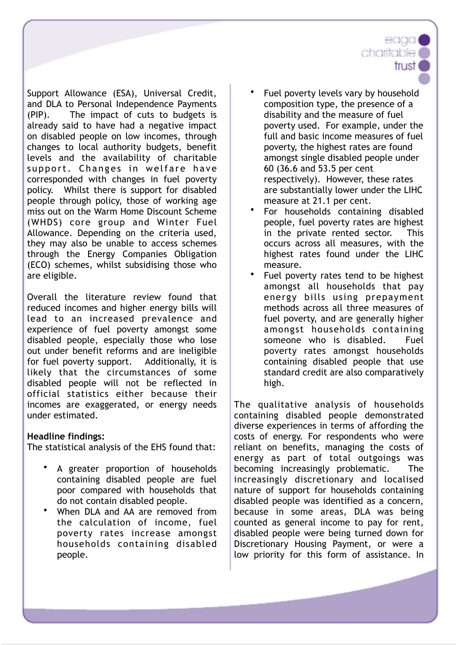Support Allowance (ESA), Universal Credit, and DLA to Personal Independence Payments (PIP). The impact of cuts to budgets is already said to have had a negative impact on disabled people on low incomes, through changes to local authority budgets, benefit levels and the availability of charitable support. Changes in welfare have corresponded with changes in fuel poverty policy. Whilst there is support for disabled people through policy, those of working age miss out on the Warm Home Discount Scheme (WHDS) core group and Winter Fuel Allowance. Depending on the criteria used, they may also be unable to access schemes through the Energy Companies Obligation (ECO) schemes, whilst subsidising those who are eligible.

Overall the literature review found that reduced incomes and higher energy bills will lead to an increased prevalence and experience of fuel poverty amongst some disabled people, especially those who lose out under benefit reforms and are ineligible for fuel poverty support. Additionally, it is likely that the circumstances of some disabled people will not be reflected in official statistics either because their incomes are exaggerated, or energy needs under estimated.

# **Headline findings:**

The statistical analysis of the EHS found that:

- A greater proportion of households containing disabled people are fuel poor compared with households that do not contain disabled people.
- When DLA and AA are removed from the calculation of income, fuel poverty rates increase amongst households containing disabled people.

Fuel poverty levels vary by household composition type, the presence of a disability and the measure of fuel poverty used. For example, under the full and basic income measures of fuel poverty, the highest rates are found amongst single disabled people under 60 (36.6 and 53.5 per cent respectively). However, these rates are substantially lower under the LIHC measure at 21.1 per cent.

eaaa

trust

charitable

- For households containing disabled people, fuel poverty rates are highest in the private rented sector. This occurs across all measures, with the highest rates found under the LIHC measure.
- Fuel poverty rates tend to be highest amongst all households that pay energy bills using prepayment methods across all three measures of fuel poverty, and are generally higher amongst households containing someone who is disabled. Fuel poverty rates amongst households containing disabled people that use standard credit are also comparatively high.

The qualitative analysis of households containing disabled people demonstrated diverse experiences in terms of affording the costs of energy. For respondents who were reliant on benefits, managing the costs of energy as part of total outgoings was becoming increasingly problematic. The increasingly discretionary and localised nature of support for households containing disabled people was identified as a concern, because in some areas, DLA was being counted as general income to pay for rent, disabled people were being turned down for Discretionary Housing Payment, or were a low priority for this form of assistance. In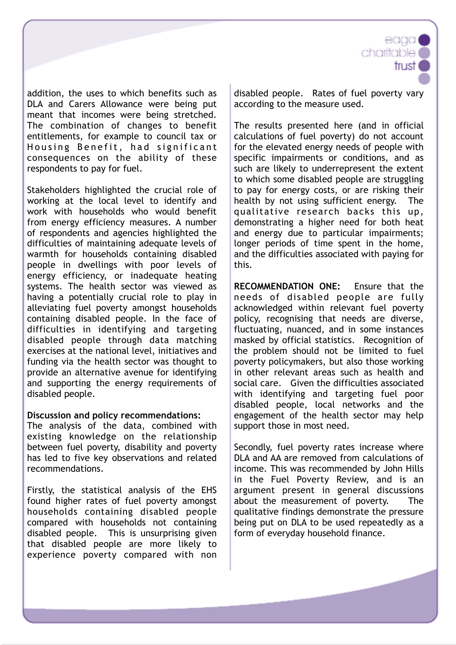addition, the uses to which benefits such as DLA and Carers Allowance were being put meant that incomes were being stretched. The combination of changes to benefit entitlements, for example to council tax or Housing Benefit, had significant consequences on the ability of these respondents to pay for fuel.

Stakeholders highlighted the crucial role of working at the local level to identify and work with households who would benefit from energy efficiency measures. A number of respondents and agencies highlighted the difficulties of maintaining adequate levels of warmth for households containing disabled people in dwellings with poor levels of energy efficiency, or inadequate heating systems. The health sector was viewed as having a potentially crucial role to play in alleviating fuel poverty amongst households containing disabled people. In the face of difficulties in identifying and targeting disabled people through data matching exercises at the national level, initiatives and funding via the health sector was thought to provide an alternative avenue for identifying and supporting the energy requirements of disabled people.

## **Discussion and policy recommendations:**

The analysis of the data, combined with existing knowledge on the relationship between fuel poverty, disability and poverty has led to five key observations and related recommendations.

Firstly, the statistical analysis of the EHS found higher rates of fuel poverty amongst households containing disabled people compared with households not containing disabled people. This is unsurprising given that disabled people are more likely to experience poverty compared with non disabled people. Rates of fuel poverty vary according to the measure used.

eaad

trust

charitable<sup>®</sup>

The results presented here (and in official calculations of fuel poverty) do not account for the elevated energy needs of people with specific impairments or conditions, and as such are likely to underrepresent the extent to which some disabled people are struggling to pay for energy costs, or are risking their health by not using sufficient energy. The qualitative research backs this up, demonstrating a higher need for both heat and energy due to particular impairments; longer periods of time spent in the home, and the difficulties associated with paying for this.

**RECOMMENDATION ONE:** Ensure that the needs of disabled people are fully acknowledged within relevant fuel poverty policy, recognising that needs are diverse, fluctuating, nuanced, and in some instances masked by official statistics. Recognition of the problem should not be limited to fuel poverty policymakers, but also those working in other relevant areas such as health and social care. Given the difficulties associated with identifying and targeting fuel poor disabled people, local networks and the engagement of the health sector may help support those in most need.

Secondly, fuel poverty rates increase where DLA and AA are removed from calculations of income. This was recommended by John Hills in the Fuel Poverty Review, and is an argument present in general discussions about the measurement of poverty. The qualitative findings demonstrate the pressure being put on DLA to be used repeatedly as a form of everyday household finance.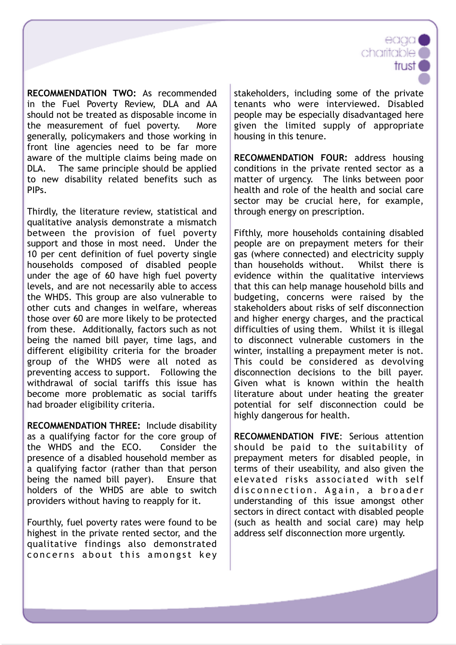**RECOMMENDATION TWO:** As recommended in the Fuel Poverty Review, DLA and AA should not be treated as disposable income in the measurement of fuel poverty. More generally, policymakers and those working in front line agencies need to be far more aware of the multiple claims being made on DLA. The same principle should be applied to new disability related benefits such as PIPs.

Thirdly, the literature review, statistical and qualitative analysis demonstrate a mismatch between the provision of fuel poverty support and those in most need. Under the 10 per cent definition of fuel poverty single households composed of disabled people under the age of 60 have high fuel poverty levels, and are not necessarily able to access the WHDS. This group are also vulnerable to other cuts and changes in welfare, whereas those over 60 are more likely to be protected from these. Additionally, factors such as not being the named bill payer, time lags, and different eligibility criteria for the broader group of the WHDS were all noted as preventing access to support. Following the withdrawal of social tariffs this issue has become more problematic as social tariffs had broader eligibility criteria.

**RECOMMENDATION THREE:** Include disability as a qualifying factor for the core group of the WHDS and the ECO. Consider the presence of a disabled household member as a qualifying factor (rather than that person being the named bill payer). Ensure that holders of the WHDS are able to switch providers without having to reapply for it.

Fourthly, fuel poverty rates were found to be highest in the private rented sector, and the qualitative findings also demonstrated concerns about this amongst key stakeholders, including some of the private tenants who were interviewed. Disabled people may be especially disadvantaged here given the limited supply of appropriate housing in this tenure.

charitable<sup>®</sup>

trust

**RECOMMENDATION FOUR:** address housing conditions in the private rented sector as a matter of urgency. The links between poor health and role of the health and social care sector may be crucial here, for example, through energy on prescription.

Fifthly, more households containing disabled people are on prepayment meters for their gas (where connected) and electricity supply than households without. Whilst there is evidence within the qualitative interviews that this can help manage household bills and budgeting, concerns were raised by the stakeholders about risks of self disconnection and higher energy charges, and the practical difficulties of using them. Whilst it is illegal to disconnect vulnerable customers in the winter, installing a prepayment meter is not. This could be considered as devolving disconnection decisions to the bill payer. Given what is known within the health literature about under heating the greater potential for self disconnection could be highly dangerous for health.

**RECOMMENDATION FIVE**: Serious attention should be paid to the suitability of prepayment meters for disabled people, in terms of their useability, and also given the elevated risks associated with self disconnection. Again, a broader understanding of this issue amongst other sectors in direct contact with disabled people (such as health and social care) may help address self disconnection more urgently.